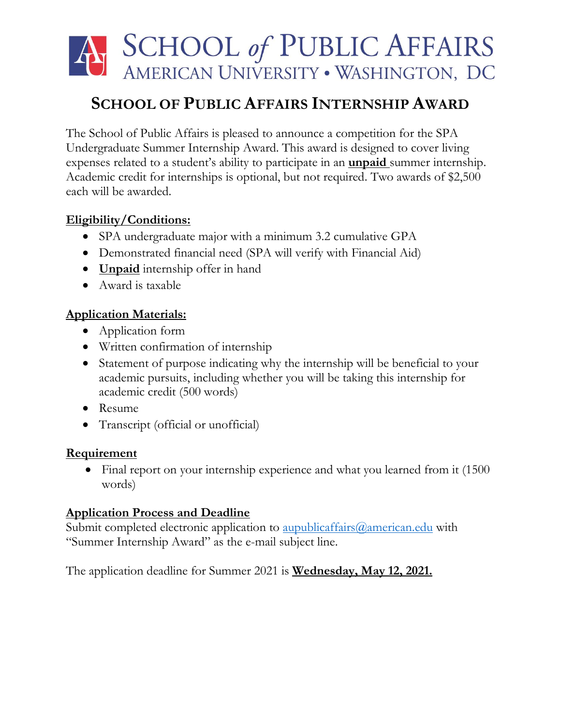# A SCHOOL of PUBLIC AFFAIRS AMERICAN UNIVERSITY . WASHINGTON, DC

## **SCHOOL OF PUBLIC AFFAIRS INTERNSHIP AWARD**

The School of Public Affairs is pleased to announce a competition for the SPA Undergraduate Summer Internship Award. This award is designed to cover living expenses related to a student's ability to participate in an **unpaid** summer internship. Academic credit for internships is optional, but not required. Two awards of \$2,500 each will be awarded.

#### **Eligibility/Conditions:**

- SPA undergraduate major with a minimum 3.2 cumulative GPA
- Demonstrated financial need (SPA will verify with Financial Aid)
- **Unpaid** internship offer in hand
- Award is taxable

#### **Application Materials:**

- Application form
- Written confirmation of internship
- Statement of purpose indicating why the internship will be beneficial to your academic pursuits, including whether you will be taking this internship for academic credit (500 words)
- Resume
- Transcript (official or unofficial)

#### **Requirement**

• Final report on your internship experience and what you learned from it (1500) words)

#### **Application Process and Deadline**

Submit completed electronic application to **aupublicaffairs@american.edu** with "Summer Internship Award" as the e-mail subject line.

The application deadline for Summer 2021 is **Wednesday, May 12, 2021.**